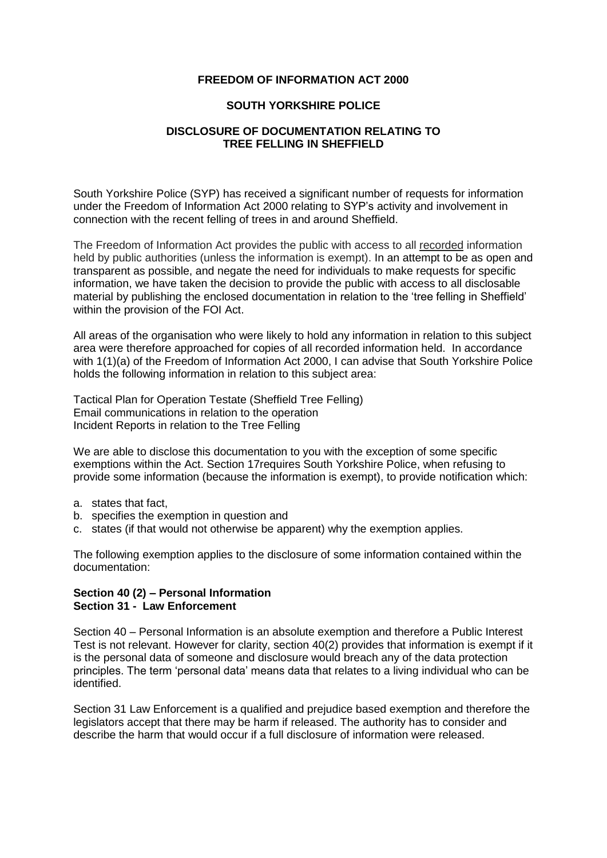# **FREEDOM OF INFORMATION ACT 2000**

### **SOUTH YORKSHIRE POLICE**

# **DISCLOSURE OF DOCUMENTATION RELATING TO TREE FELLING IN SHEFFIELD**

South Yorkshire Police (SYP) has received a significant number of requests for information under the Freedom of Information Act 2000 relating to SYP's activity and involvement in connection with the recent felling of trees in and around Sheffield.

The Freedom of Information Act provides the public with access to all recorded information held by public authorities (unless the information is exempt). In an attempt to be as open and transparent as possible, and negate the need for individuals to make requests for specific information, we have taken the decision to provide the public with access to all disclosable material by publishing the enclosed documentation in relation to the 'tree felling in Sheffield' within the provision of the FOI Act.

All areas of the organisation who were likely to hold any information in relation to this subject area were therefore approached for copies of all recorded information held. In accordance with 1(1)(a) of the Freedom of Information Act 2000, I can advise that South Yorkshire Police holds the following information in relation to this subject area:

Tactical Plan for Operation Testate (Sheffield Tree Felling) Email communications in relation to the operation Incident Reports in relation to the Tree Felling

We are able to disclose this documentation to you with the exception of some specific exemptions within the Act. Section 17requires South Yorkshire Police, when refusing to provide some information (because the information is exempt), to provide notification which:

- a. states that fact,
- b. specifies the exemption in question and
- c. states (if that would not otherwise be apparent) why the exemption applies.

The following exemption applies to the disclosure of some information contained within the documentation:

# **Section 40 (2) – Personal Information Section 31 - Law Enforcement**

Section 40 – Personal Information is an absolute exemption and therefore a Public Interest Test is not relevant. However for clarity, section 40(2) provides that information is exempt if it is the personal data of someone and disclosure would breach any of the data protection principles. The term 'personal data' means data that relates to a living individual who can be identified.

Section 31 Law Enforcement is a qualified and prejudice based exemption and therefore the legislators accept that there may be harm if released. The authority has to consider and describe the harm that would occur if a full disclosure of information were released.